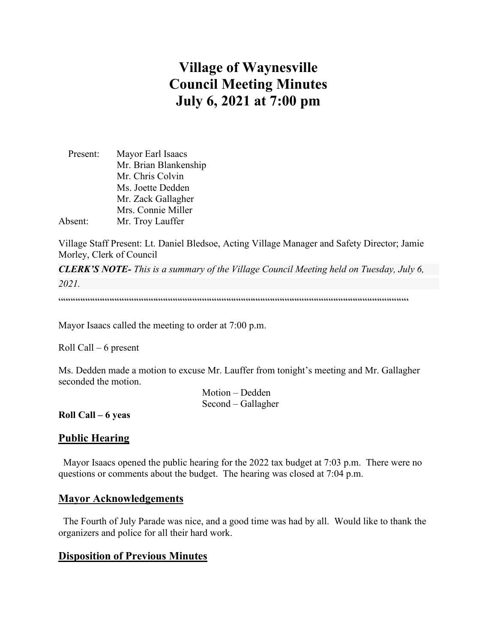# **Village of Waynesville Council Meeting Minutes July 6, 2021 at 7:00 pm**

| Present: | Mayor Earl Isaacs     |
|----------|-----------------------|
|          | Mr. Brian Blankenship |
|          | Mr. Chris Colvin      |
|          | Ms. Joette Dedden     |
|          | Mr. Zack Gallagher    |
|          | Mrs. Connie Miller    |
| Absent:  | Mr. Troy Lauffer      |

Village Staff Present: Lt. Daniel Bledsoe, Acting Village Manager and Safety Director; Jamie Morley, Clerk of Council

*CLERK'S NOTE- This is a summary of the Village Council Meeting held on Tuesday, July 6, 2021.* 

 $\label{prop:main}$ 

Mayor Isaacs called the meeting to order at 7:00 p.m.

Roll Call – 6 present

Ms. Dedden made a motion to excuse Mr. Lauffer from tonight's meeting and Mr. Gallagher seconded the motion.

> Motion – Dedden Second – Gallagher

**Roll Call – 6 yeas**

## **Public Hearing**

 Mayor Isaacs opened the public hearing for the 2022 tax budget at 7:03 p.m. There were no questions or comments about the budget. The hearing was closed at 7:04 p.m.

#### **Mayor Acknowledgements**

 The Fourth of July Parade was nice, and a good time was had by all. Would like to thank the organizers and police for all their hard work.

## **Disposition of Previous Minutes**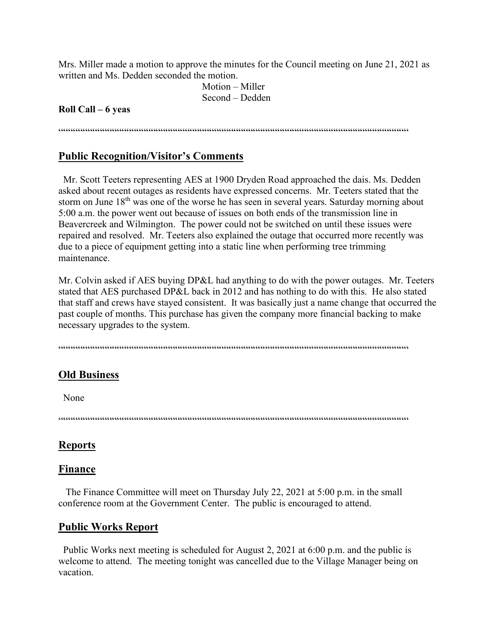Mrs. Miller made a motion to approve the minutes for the Council meeting on June 21, 2021 as written and Ms. Dedden seconded the motion.

> Motion – Miller Second – Dedden

#### **Roll Call – 6 yeas**

 $\label{prop:main} \hspace{1.5cm} \hspace{1.5cm} \hspace{1.5cm} \hspace{1.5cm} \hspace{1.5cm} \hspace{1.5cm} \hspace{1.5cm} \hspace{1.5cm} \hspace{1.5cm} \hspace{1.5cm} \hspace{1.5cm} \hspace{1.5cm} \hspace{1.5cm} \hspace{1.5cm} \hspace{1.5cm} \hspace{1.5cm} \hspace{1.5cm} \hspace{1.5cm} \hspace{1.5cm} \hspace{1.5cm} \hspace{1.5cm} \hspace{1.5cm} \hspace{1.5cm} \hspace{1.$ 

#### **Public Recognition/Visitor's Comments**

 Mr. Scott Teeters representing AES at 1900 Dryden Road approached the dais. Ms. Dedden asked about recent outages as residents have expressed concerns. Mr. Teeters stated that the storm on June 18<sup>th</sup> was one of the worse he has seen in several years. Saturday morning about 5:00 a.m. the power went out because of issues on both ends of the transmission line in Beavercreek and Wilmington. The power could not be switched on until these issues were repaired and resolved. Mr. Teeters also explained the outage that occurred more recently was due to a piece of equipment getting into a static line when performing tree trimming maintenance.

Mr. Colvin asked if AES buying DP&L had anything to do with the power outages. Mr. Teeters stated that AES purchased DP&L back in 2012 and has nothing to do with this. He also stated that staff and crews have stayed consistent. It was basically just a name change that occurred the past couple of months. This purchase has given the company more financial backing to make necessary upgrades to the system.

""""""""""""""""""""""""""""""""""""""""""""""""""""""""""""""""""""""""

## **Old Business**

None

""""""""""""""""""""""""""""""""""""""""""""""""""""""""""""""""""""""""

#### **Reports**

#### **Finance**

 The Finance Committee will meet on Thursday July 22, 2021 at 5:00 p.m. in the small conference room at the Government Center. The public is encouraged to attend.

#### **Public Works Report**

 Public Works next meeting is scheduled for August 2, 2021 at 6:00 p.m. and the public is welcome to attend. The meeting tonight was cancelled due to the Village Manager being on vacation.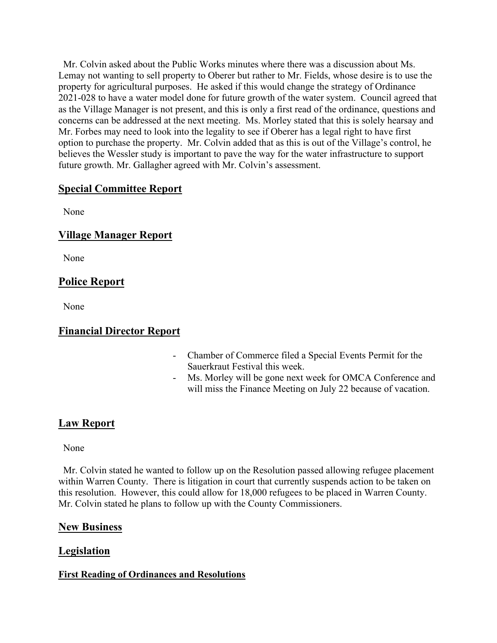Mr. Colvin asked about the Public Works minutes where there was a discussion about Ms. Lemay not wanting to sell property to Oberer but rather to Mr. Fields, whose desire is to use the property for agricultural purposes. He asked if this would change the strategy of Ordinance 2021-028 to have a water model done for future growth of the water system. Council agreed that as the Village Manager is not present, and this is only a first read of the ordinance, questions and concerns can be addressed at the next meeting. Ms. Morley stated that this is solely hearsay and Mr. Forbes may need to look into the legality to see if Oberer has a legal right to have first option to purchase the property. Mr. Colvin added that as this is out of the Village's control, he believes the Wessler study is important to pave the way for the water infrastructure to support future growth. Mr. Gallagher agreed with Mr. Colvin's assessment.

# **Special Committee Report**

None

# **Village Manager Report**

None

# **Police Report**

None

# **Financial Director Report**

- Chamber of Commerce filed a Special Events Permit for the Sauerkraut Festival this week.
- Ms. Morley will be gone next week for OMCA Conference and will miss the Finance Meeting on July 22 because of vacation.

# **Law Report**

None

 Mr. Colvin stated he wanted to follow up on the Resolution passed allowing refugee placement within Warren County. There is litigation in court that currently suspends action to be taken on this resolution. However, this could allow for 18,000 refugees to be placed in Warren County. Mr. Colvin stated he plans to follow up with the County Commissioners.

## **New Business**

# **Legislation**

## **First Reading of Ordinances and Resolutions**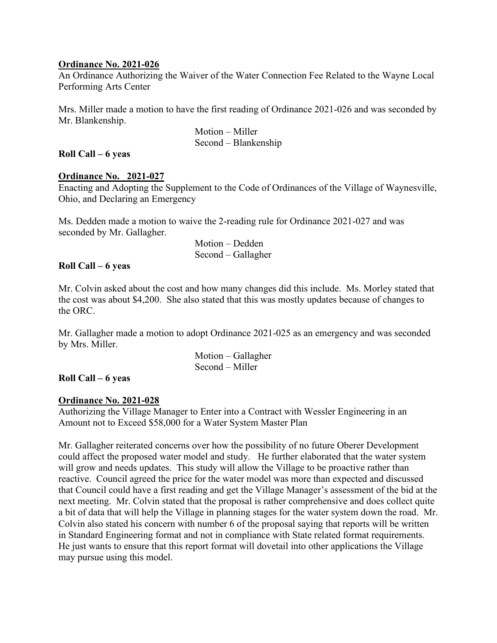#### **Ordinance No. 2021-026**

An Ordinance Authorizing the Waiver of the Water Connection Fee Related to the Wayne Local Performing Arts Center

Mrs. Miller made a motion to have the first reading of Ordinance 2021-026 and was seconded by Mr. Blankenship.

 Motion – Miller Second – Blankenship

#### **Roll Call – 6 yeas**

#### **Ordinance No. 2021-027**

Enacting and Adopting the Supplement to the Code of Ordinances of the Village of Waynesville, Ohio, and Declaring an Emergency

Ms. Dedden made a motion to waive the 2-reading rule for Ordinance 2021-027 and was seconded by Mr. Gallagher.

> Motion – Dedden Second – Gallagher

#### **Roll Call – 6 yeas**

Mr. Colvin asked about the cost and how many changes did this include. Ms. Morley stated that the cost was about \$4,200. She also stated that this was mostly updates because of changes to the ORC.

Mr. Gallagher made a motion to adopt Ordinance 2021-025 as an emergency and was seconded by Mrs. Miller.

> Motion – Gallagher Second – Miller

## **Roll Call – 6 yeas**

#### **Ordinance No. 2021-028**

Authorizing the Village Manager to Enter into a Contract with Wessler Engineering in an Amount not to Exceed \$58,000 for a Water System Master Plan

Mr. Gallagher reiterated concerns over how the possibility of no future Oberer Development could affect the proposed water model and study. He further elaborated that the water system will grow and needs updates. This study will allow the Village to be proactive rather than reactive. Council agreed the price for the water model was more than expected and discussed that Council could have a first reading and get the Village Manager's assessment of the bid at the next meeting. Mr. Colvin stated that the proposal is rather comprehensive and does collect quite a bit of data that will help the Village in planning stages for the water system down the road. Mr. Colvin also stated his concern with number 6 of the proposal saying that reports will be written in Standard Engineering format and not in compliance with State related format requirements. He just wants to ensure that this report format will dovetail into other applications the Village may pursue using this model.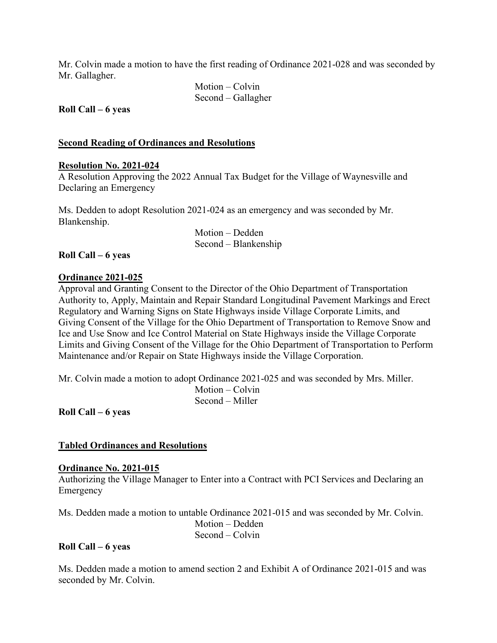Mr. Colvin made a motion to have the first reading of Ordinance 2021-028 and was seconded by Mr. Gallagher.

> Motion – Colvin Second – Gallagher

**Roll Call – 6 yeas**

#### **Second Reading of Ordinances and Resolutions**

#### **Resolution No. 2021-024**

A Resolution Approving the 2022 Annual Tax Budget for the Village of Waynesville and Declaring an Emergency

Ms. Dedden to adopt Resolution 2021-024 as an emergency and was seconded by Mr. Blankenship.

> Motion – Dedden Second – Blankenship

#### **Roll Call – 6 yeas**

#### **Ordinance 2021-025**

Approval and Granting Consent to the Director of the Ohio Department of Transportation Authority to, Apply, Maintain and Repair Standard Longitudinal Pavement Markings and Erect Regulatory and Warning Signs on State Highways inside Village Corporate Limits, and Giving Consent of the Village for the Ohio Department of Transportation to Remove Snow and Ice and Use Snow and Ice Control Material on State Highways inside the Village Corporate Limits and Giving Consent of the Village for the Ohio Department of Transportation to Perform Maintenance and/or Repair on State Highways inside the Village Corporation.

Mr. Colvin made a motion to adopt Ordinance 2021-025 and was seconded by Mrs. Miller. Motion – Colvin Second – Miller

**Roll Call – 6 yeas**

#### **Tabled Ordinances and Resolutions**

#### **Ordinance No. 2021-015**

Authorizing the Village Manager to Enter into a Contract with PCI Services and Declaring an Emergency

Ms. Dedden made a motion to untable Ordinance 2021-015 and was seconded by Mr. Colvin.

 Motion – Dedden Second – Colvin

#### **Roll Call – 6 yeas**

Ms. Dedden made a motion to amend section 2 and Exhibit A of Ordinance 2021-015 and was seconded by Mr. Colvin.